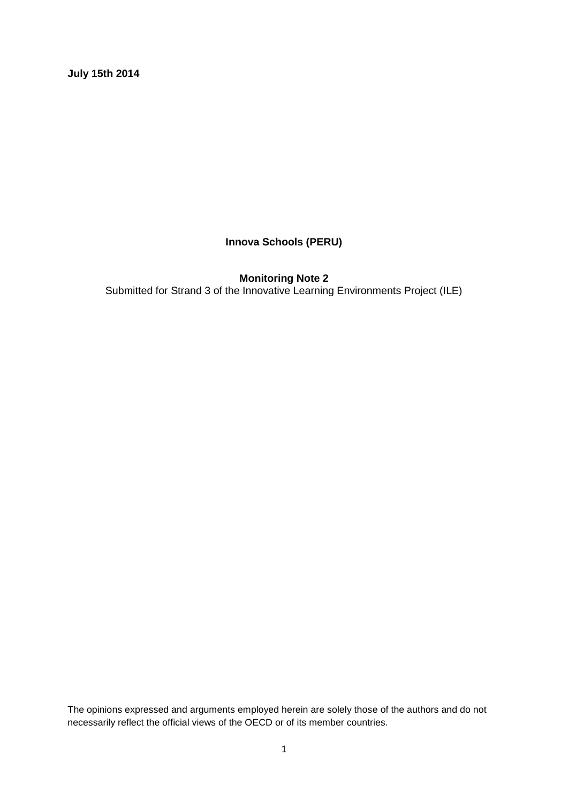**July 15th 2014**

# **Innova Schools (PERU)**

**Monitoring Note 2** Submitted for Strand 3 of the Innovative Learning Environments Project (ILE)

The opinions expressed and arguments employed herein are solely those of the authors and do not necessarily reflect the official views of the OECD or of its member countries.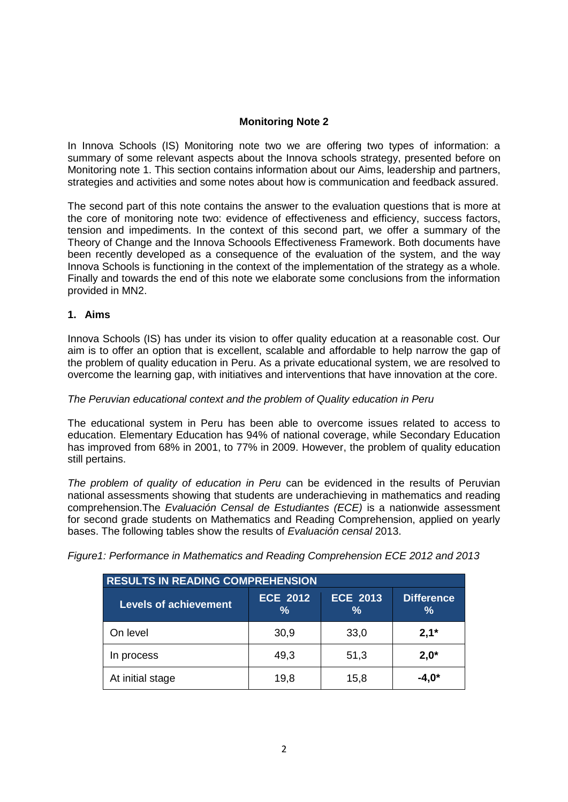# **Monitoring Note 2**

In Innova Schools (IS) Monitoring note two we are offering two types of information: a summary of some relevant aspects about the Innova schools strategy, presented before on Monitoring note 1. This section contains information about our Aims, leadership and partners, strategies and activities and some notes about how is communication and feedback assured.

The second part of this note contains the answer to the evaluation questions that is more at the core of monitoring note two: evidence of effectiveness and efficiency, success factors, tension and impediments. In the context of this second part, we offer a summary of the Theory of Change and the Innova Schoools Effectiveness Framework. Both documents have been recently developed as a consequence of the evaluation of the system, and the way Innova Schools is functioning in the context of the implementation of the strategy as a whole. Finally and towards the end of this note we elaborate some conclusions from the information provided in MN2.

# **1. Aims**

Innova Schools (IS) has under its vision to offer quality education at a reasonable cost. Our aim is to offer an option that is excellent, scalable and affordable to help narrow the gap of the problem of quality education in Peru. As a private educational system, we are resolved to overcome the learning gap, with initiatives and interventions that have innovation at the core.

# *The Peruvian educational context and the problem of Quality education in Peru*

The educational system in Peru has been able to overcome issues related to access to education. Elementary Education has 94% of national coverage, while Secondary Education has improved from 68% in 2001, to 77% in 2009. However, the problem of quality education still pertains.

*The problem of quality of education in Peru* can be evidenced in the results of Peruvian national assessments showing that students are underachieving in mathematics and reading comprehension.The *Evaluación Censal de Estudiantes (ECE)* is a nationwide assessment for second grade students on Mathematics and Reading Comprehension, applied on yearly bases. The following tables show the results of *Evaluación censal* 2013.

|  | Figure1: Performance in Mathematics and Reading Comprehension ECE 2012 and 2013 |  |  |
|--|---------------------------------------------------------------------------------|--|--|
|  |                                                                                 |  |  |

| <b>RESULTS IN READING COMPREHENSION</b> |                                  |                                  |                                    |  |
|-----------------------------------------|----------------------------------|----------------------------------|------------------------------------|--|
| <b>Levels of achievement</b>            | <b>ECE 2012</b><br>$\frac{9}{6}$ | <b>ECE 2013</b><br>$\frac{9}{6}$ | <b>Difference</b><br>$\frac{9}{6}$ |  |
| On level                                | 30,9                             | 33,0                             | $2,1*$                             |  |
| In process                              | 49,3                             | 51,3                             | $2,0^*$                            |  |
| At initial stage                        | 19,8                             | 15,8                             | -4.0*                              |  |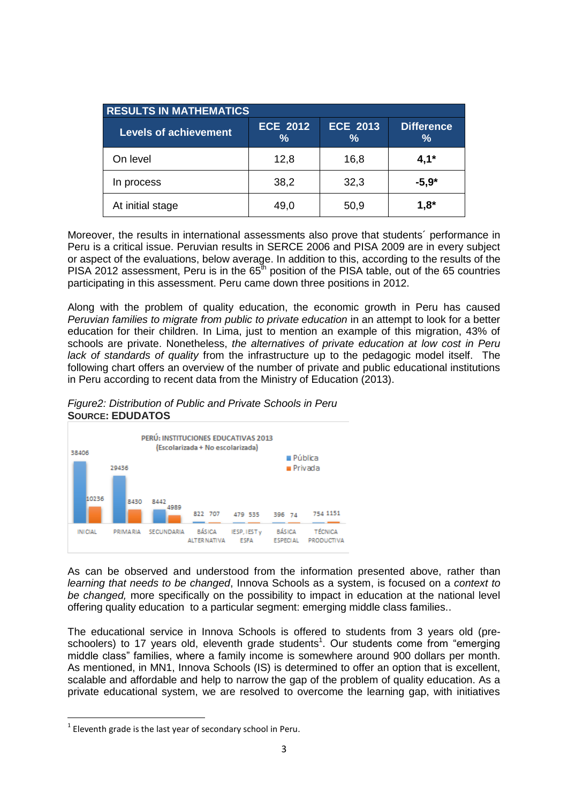| <b>RESULTS IN MATHEMATICS</b> |                                  |                         |                                    |  |
|-------------------------------|----------------------------------|-------------------------|------------------------------------|--|
| <b>Levels of achievement</b>  | <b>ECE 2012</b><br>$\frac{9}{6}$ | <b>ECE 2013</b><br>$\%$ | <b>Difference</b><br>$\frac{9}{6}$ |  |
| On level                      | 12,8                             | 16,8                    | $4,1*$                             |  |
| In process                    | 38,2                             | 32,3                    | $-5.9*$                            |  |
| At initial stage              | 49,0                             | 50,9                    | $1,8^*$                            |  |

Moreover, the results in international assessments also prove that students´ performance in Peru is a critical issue. Peruvian results in SERCE 2006 and PISA 2009 are in every subject or aspect of the evaluations, below average. In addition to this, according to the results of the PISA 2012 assessment, Peru is in the  $65<sup>th</sup>$  position of the PISA table, out of the 65 countries participating in this assessment. Peru came down three positions in 2012.

Along with the problem of quality education, the economic growth in Peru has caused *Peruvian families to migrate from public to private education* in an attempt to look for a better education for their children. In Lima, just to mention an example of this migration, 43% of schools are private. Nonetheless, *the alternatives of private education at low cost in Peru lack of standards of quality* from the infrastructure up to the pedagogic model itself. The following chart offers an overview of the number of private and public educational institutions in Peru according to recent data from the Ministry of Education (2013).

*Figure2: Distribution of Public and Private Schools in Peru* **SOURCE: EDUDATOS**



As can be observed and understood from the information presented above, rather than *learning that needs to be changed*, Innova Schools as a system, is focused on a *context to be changed,* more specifically on the possibility to impact in education at the national level offering quality education to a particular segment: emerging middle class families..

The educational service in Innova Schools is offered to students from 3 years old (preschoolers) to 17 years old, eleventh grade students<sup>1</sup>. Our students come from "emerging middle class" families, where a family income is somewhere around 900 dollars per month. As mentioned, in MN1, Innova Schools (IS) is determined to offer an option that is excellent, scalable and affordable and help to narrow the gap of the problem of quality education. As a private educational system, we are resolved to overcome the learning gap, with initiatives

 $\overline{\phantom{a}}$ 

 $1$  Eleventh grade is the last year of secondary school in Peru.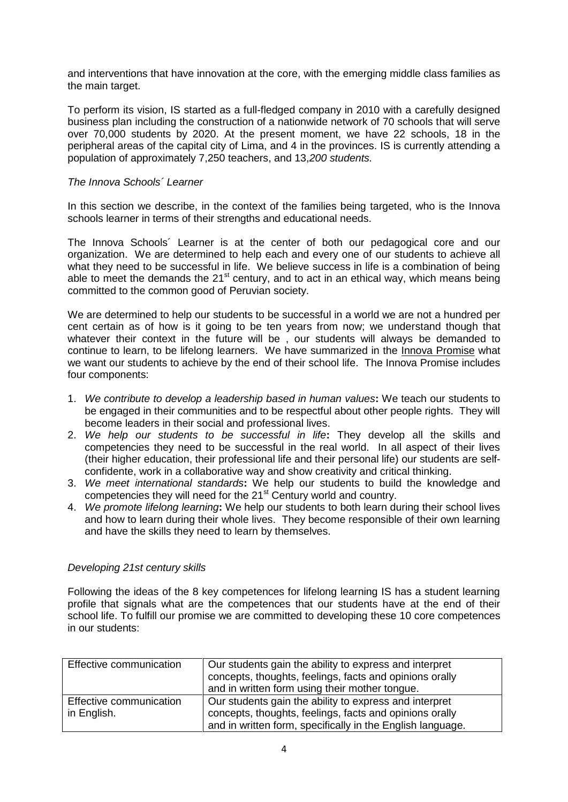and interventions that have innovation at the core, with the emerging middle class families as the main target.

To perform its vision, IS started as a full-fledged company in 2010 with a carefully designed business plan including the construction of a nationwide network of 70 schools that will serve over 70,000 students by 2020. At the present moment, we have 22 schools, 18 in the peripheral areas of the capital city of Lima, and 4 in the provinces. IS is currently attending a population of approximately 7,250 teachers, and 13,*200 students.*

# *The Innova Schools´ Learner*

In this section we describe, in the context of the families being targeted, who is the Innova schools learner in terms of their strengths and educational needs.

The Innova Schools´ Learner is at the center of both our pedagogical core and our organization. We are determined to help each and every one of our students to achieve all what they need to be successful in life. We believe success in life is a combination of being able to meet the demands the 21<sup>st</sup> century, and to act in an ethical way, which means being committed to the common good of Peruvian society.

We are determined to help our students to be successful in a world we are not a hundred per cent certain as of how is it going to be ten years from now; we understand though that whatever their context in the future will be, our students will always be demanded to continue to learn, to be lifelong learners. We have summarized in the Innova Promise what we want our students to achieve by the end of their school life. The Innova Promise includes four components:

- 1. *We contribute to develop a leadership based in human values***:** We teach our students to be engaged in their communities and to be respectful about other people rights. They will become leaders in their social and professional lives.
- 2. *We help our students to be successful in life***:** They develop all the skills and competencies they need to be successful in the real world. In all aspect of their lives (their higher education, their professional life and their personal life) our students are selfconfidente, work in a collaborative way and show creativity and critical thinking.
- 3. *We meet international standards***:** We help our students to build the knowledge and competencies they will need for the 21<sup>st</sup> Century world and country.
- 4. *We promote lifelong learning***:** We help our students to both learn during their school lives and how to learn during their whole lives. They become responsible of their own learning and have the skills they need to learn by themselves.

# *Developing 21st century skills*

Following the ideas of the 8 key competences for lifelong learning IS has a student learning profile that signals what are the competences that our students have at the end of their school life. To fulfill our promise we are committed to developing these 10 core competences in our students:

| Effective communication                | Our students gain the ability to express and interpret<br>concepts, thoughts, feelings, facts and opinions orally<br>and in written form using their mother tongue.             |
|----------------------------------------|---------------------------------------------------------------------------------------------------------------------------------------------------------------------------------|
| Effective communication<br>in English. | Our students gain the ability to express and interpret<br>concepts, thoughts, feelings, facts and opinions orally<br>and in written form, specifically in the English language. |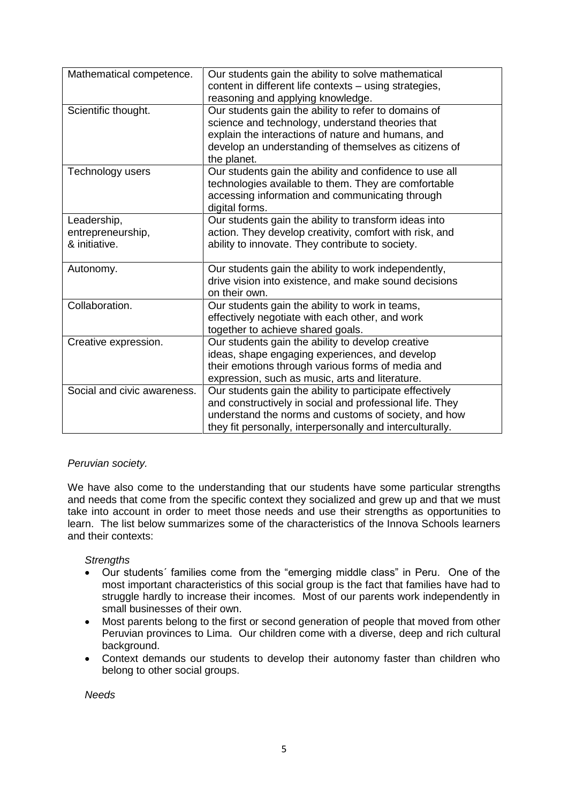| Mathematical competence.    | Our students gain the ability to solve mathematical       |
|-----------------------------|-----------------------------------------------------------|
|                             | content in different life contexts - using strategies,    |
|                             | reasoning and applying knowledge.                         |
| Scientific thought.         | Our students gain the ability to refer to domains of      |
|                             | science and technology, understand theories that          |
|                             | explain the interactions of nature and humans, and        |
|                             | develop an understanding of themselves as citizens of     |
|                             | the planet.                                               |
| Technology users            | Our students gain the ability and confidence to use all   |
|                             | technologies available to them. They are comfortable      |
|                             | accessing information and communicating through           |
|                             | digital forms.                                            |
| Leadership,                 | Our students gain the ability to transform ideas into     |
| entrepreneurship,           | action. They develop creativity, comfort with risk, and   |
| & initiative.               | ability to innovate. They contribute to society.          |
|                             |                                                           |
| Autonomy.                   | Our students gain the ability to work independently,      |
|                             | drive vision into existence, and make sound decisions     |
|                             | on their own.                                             |
| Collaboration.              | Our students gain the ability to work in teams,           |
|                             | effectively negotiate with each other, and work           |
|                             | together to achieve shared goals.                         |
| Creative expression.        | Our students gain the ability to develop creative         |
|                             | ideas, shape engaging experiences, and develop            |
|                             | their emotions through various forms of media and         |
|                             | expression, such as music, arts and literature.           |
| Social and civic awareness. | Our students gain the ability to participate effectively  |
|                             | and constructively in social and professional life. They  |
|                             | understand the norms and customs of society, and how      |
|                             | they fit personally, interpersonally and interculturally. |

# *Peruvian society.*

We have also come to the understanding that our students have some particular strengths and needs that come from the specific context they socialized and grew up and that we must take into account in order to meet those needs and use their strengths as opportunities to learn. The list below summarizes some of the characteristics of the Innova Schools learners and their contexts:

# *Strengths*

- Our students´ families come from the "emerging middle class" in Peru. One of the most important characteristics of this social group is the fact that families have had to struggle hardly to increase their incomes. Most of our parents work independently in small businesses of their own.
- Most parents belong to the first or second generation of people that moved from other Peruvian provinces to Lima. Our children come with a diverse, deep and rich cultural background.
- Context demands our students to develop their autonomy faster than children who belong to other social groups.

*Needs*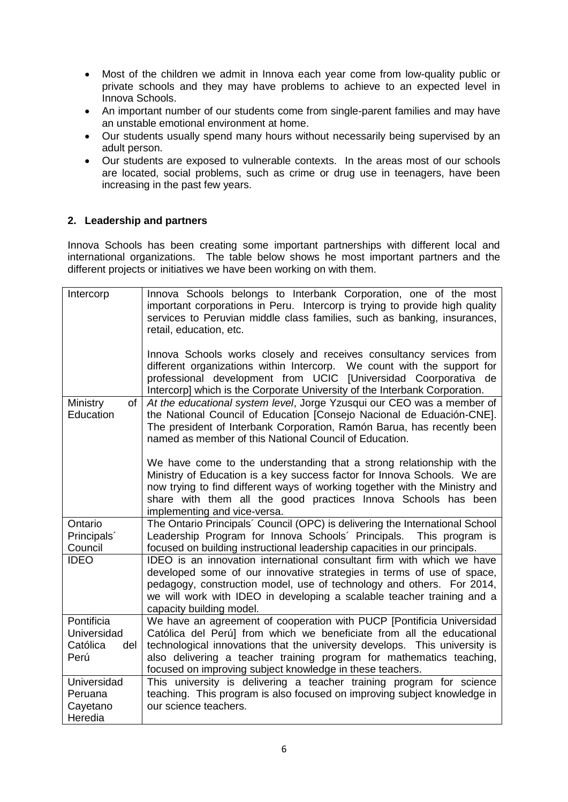- Most of the children we admit in Innova each year come from low-quality public or private schools and they may have problems to achieve to an expected level in Innova Schools.
- An important number of our students come from single-parent families and may have an unstable emotional environment at home.
- Our students usually spend many hours without necessarily being supervised by an adult person.
- Our students are exposed to vulnerable contexts. In the areas most of our schools are located, social problems, such as crime or drug use in teenagers, have been increasing in the past few years.

# **2. Leadership and partners**

Innova Schools has been creating some important partnerships with different local and international organizations. The table below shows he most important partners and the different projects or initiatives we have been working on with them.

| Intercorp                                            | Innova Schools belongs to Interbank Corporation, one of the most<br>important corporations in Peru. Intercorp is trying to provide high quality<br>services to Peruvian middle class families, such as banking, insurances,<br>retail, education, etc.                                                                                                            |
|------------------------------------------------------|-------------------------------------------------------------------------------------------------------------------------------------------------------------------------------------------------------------------------------------------------------------------------------------------------------------------------------------------------------------------|
|                                                      | Innova Schools works closely and receives consultancy services from<br>different organizations within Intercorp. We count with the support for<br>professional development from UCIC [Universidad Coorporativa de<br>Intercorp] which is the Corporate University of the Interbank Corporation.                                                                   |
| Ministry<br>of<br>Education                          | At the educational system level, Jorge Yzusqui our CEO was a member of<br>the National Council of Education [Consejo Nacional de Eduación-CNE].<br>The president of Interbank Corporation, Ramón Barua, has recently been<br>named as member of this National Council of Education.                                                                               |
|                                                      | We have come to the understanding that a strong relationship with the<br>Ministry of Education is a key success factor for Innova Schools. We are<br>now trying to find different ways of working together with the Ministry and<br>share with them all the good practices Innova Schools has been<br>implementing and vice-versa.                                |
| Ontario<br>Principals'<br>Council                    | The Ontario Principals' Council (OPC) is delivering the International School<br>Leadership Program for Innova Schools' Principals. This program is<br>focused on building instructional leadership capacities in our principals.                                                                                                                                  |
| <b>IDEO</b>                                          | IDEO is an innovation international consultant firm with which we have<br>developed some of our innovative strategies in terms of use of space,<br>pedagogy, construction model, use of technology and others. For 2014,<br>we will work with IDEO in developing a scalable teacher training and a<br>capacity building model.                                    |
| Pontificia<br>Universidad<br>Católica<br>del<br>Perú | We have an agreement of cooperation with PUCP [Pontificia Universidad<br>Católica del Perú] from which we beneficiate from all the educational<br>technological innovations that the university develops. This university is<br>also delivering a teacher training program for mathematics teaching,<br>focused on improving subject knowledge in these teachers. |
| Universidad<br>Peruana<br>Cayetano<br>Heredia        | This university is delivering a teacher training program for science<br>teaching. This program is also focused on improving subject knowledge in<br>our science teachers.                                                                                                                                                                                         |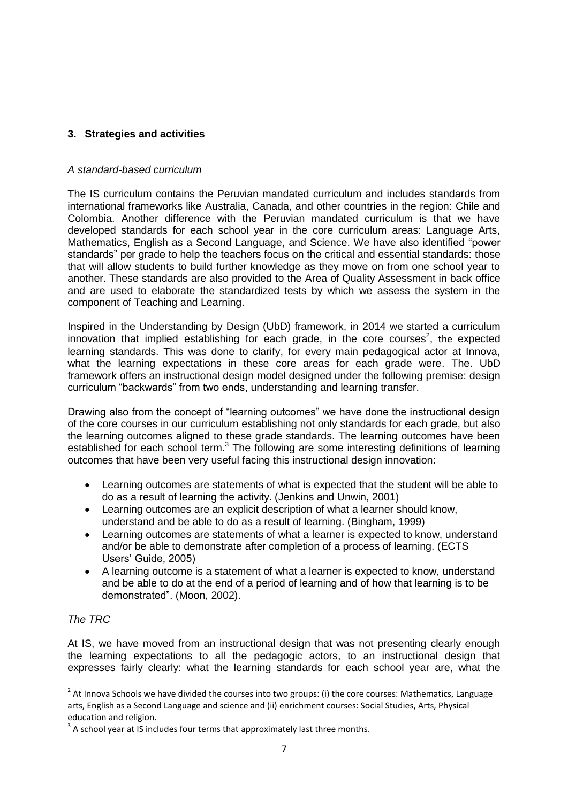# **3. Strategies and activities**

# *A standard-based curriculum*

The IS curriculum contains the Peruvian mandated curriculum and includes standards from international frameworks like Australia, Canada, and other countries in the region: Chile and Colombia. Another difference with the Peruvian mandated curriculum is that we have developed standards for each school year in the core curriculum areas: Language Arts, Mathematics, English as a Second Language, and Science. We have also identified "power standards" per grade to help the teachers focus on the critical and essential standards: those that will allow students to build further knowledge as they move on from one school year to another. These standards are also provided to the Area of Quality Assessment in back office and are used to elaborate the standardized tests by which we assess the system in the component of Teaching and Learning.

Inspired in the Understanding by Design (UbD) framework, in 2014 we started a curriculum innovation that implied establishing for each grade, in the core courses<sup>2</sup>, the expected learning standards. This was done to clarify, for every main pedagogical actor at Innova, what the learning expectations in these core areas for each grade were. The. UbD framework offers an instructional design model designed under the following premise: design curriculum "backwards" from two ends, understanding and learning transfer.

Drawing also from the concept of "learning outcomes" we have done the instructional design of the core courses in our curriculum establishing not only standards for each grade, but also the learning outcomes aligned to these grade standards. The learning outcomes have been established for each school term. $3$  The following are some interesting definitions of learning outcomes that have been very useful facing this instructional design innovation:

- Learning outcomes are statements of what is expected that the student will be able to do as a result of learning the activity. (Jenkins and Unwin, 2001)
- Learning outcomes are an explicit description of what a learner should know, understand and be able to do as a result of learning. (Bingham, 1999)
- Learning outcomes are statements of what a learner is expected to know, understand and/or be able to demonstrate after completion of a process of learning. (ECTS Users' Guide, 2005)
- A learning outcome is a statement of what a learner is expected to know, understand and be able to do at the end of a period of learning and of how that learning is to be demonstrated". (Moon, 2002).

# *The TRC*

At IS, we have moved from an instructional design that was not presenting clearly enough the learning expectations to all the pedagogic actors, to an instructional design that expresses fairly clearly: what the learning standards for each school year are, what the

 $\frac{2}{3}$ At Innova Schools we have divided the courses into two groups: (i) the core courses: Mathematics, Language arts, English as a Second Language and science and (ii) enrichment courses: Social Studies, Arts, Physical education and religion.

 $3$  A school year at IS includes four terms that approximately last three months.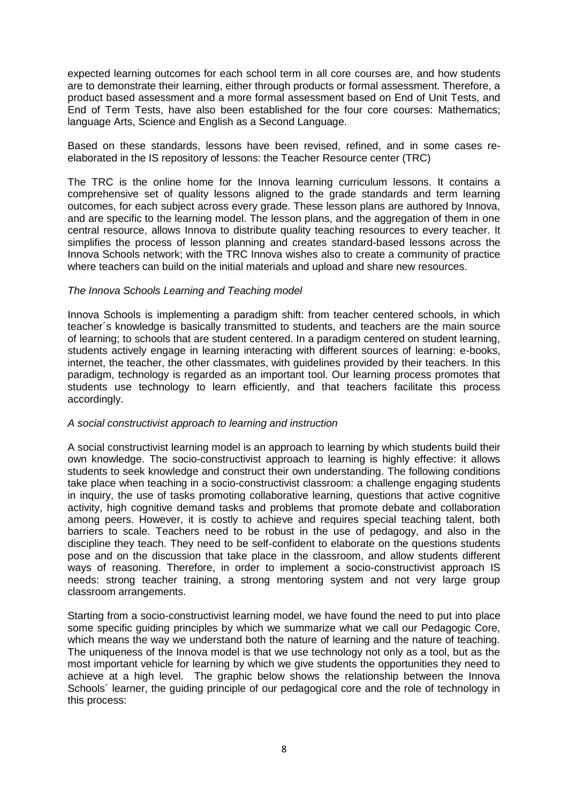expected learning outcomes for each school term in all core courses are, and how students are to demonstrate their learning, either through products or formal assessment. Therefore, a product based assessment and a more formal assessment based on End of Unit Tests, and End of Term Tests, have also been established for the four core courses: Mathematics; language Arts, Science and English as a Second Language.

Based on these standards, lessons have been revised, refined, and in some cases reelaborated in the IS repository of lessons: the Teacher Resource center (TRC)

The TRC is the online home for the Innova learning curriculum lessons. It contains a comprehensive set of quality lessons aligned to the grade standards and term learning outcomes, for each subject across every grade. These lesson plans are authored by Innova, and are specific to the learning model. The lesson plans, and the aggregation of them in one central resource, allows Innova to distribute quality teaching resources to every teacher. It simplifies the process of lesson planning and creates standard-based lessons across the Innova Schools network; with the TRC Innova wishes also to create a community of practice where teachers can build on the initial materials and upload and share new resources.

# *The Innova Schools Learning and Teaching model*

Innova Schools is implementing a paradigm shift: from teacher centered schools, in which teacher´s knowledge is basically transmitted to students, and teachers are the main source of learning; to schools that are student centered. In a paradigm centered on student learning, students actively engage in learning interacting with different sources of learning: e-books, internet, the teacher, the other classmates, with guidelines provided by their teachers. In this paradigm, technology is regarded as an important tool. Our learning process promotes that students use technology to learn efficiently, and that teachers facilitate this process accordingly.

### *A social constructivist approach to learning and instruction*

A social constructivist learning model is an approach to learning by which students build their own knowledge. The socio-constructivist approach to learning is highly effective: it allows students to seek knowledge and construct their own understanding. The following conditions take place when teaching in a socio-constructivist classroom: a challenge engaging students in inquiry, the use of tasks promoting collaborative learning, questions that active cognitive activity, high cognitive demand tasks and problems that promote debate and collaboration among peers. However, it is costly to achieve and requires special teaching talent, both barriers to scale. Teachers need to be robust in the use of pedagogy, and also in the discipline they teach. They need to be self-confident to elaborate on the questions students pose and on the discussion that take place in the classroom, and allow students different ways of reasoning. Therefore, in order to implement a socio-constructivist approach IS needs: strong teacher training, a strong mentoring system and not very large group classroom arrangements.

Starting from a socio-constructivist learning model, we have found the need to put into place some specific guiding principles by which we summarize what we call our Pedagogic Core, which means the way we understand both the nature of learning and the nature of teaching. The uniqueness of the Innova model is that we use technology not only as a tool, but as the most important vehicle for learning by which we give students the opportunities they need to achieve at a high level. The graphic below shows the relationship between the Innova Schools' learner, the quiding principle of our pedagogical core and the role of technology in this process: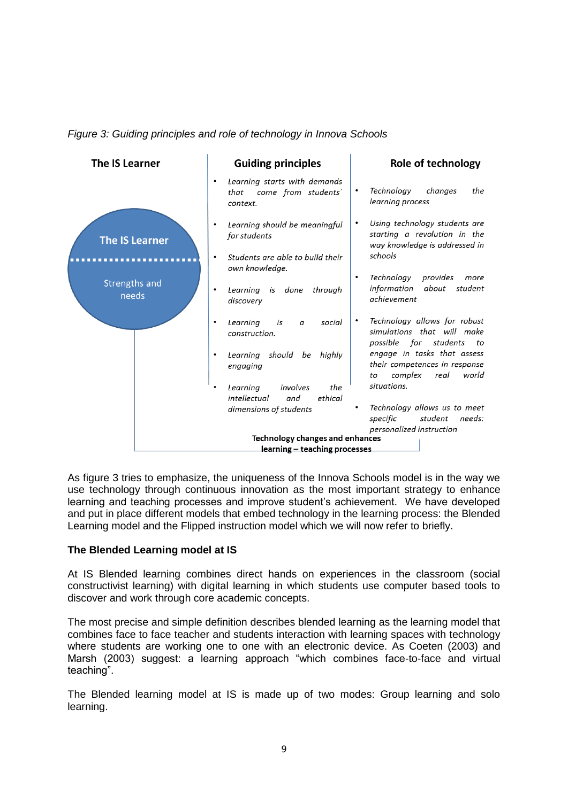



As figure 3 tries to emphasize, the uniqueness of the Innova Schools model is in the way we use technology through continuous innovation as the most important strategy to enhance learning and teaching processes and improve student's achievement. We have developed and put in place different models that embed technology in the learning process: the Blended Learning model and the Flipped instruction model which we will now refer to briefly.

# **The Blended Learning model at IS**

At IS Blended learning combines direct hands on experiences in the classroom (social constructivist learning) with digital learning in which students use computer based tools to discover and work through core academic concepts.

The most precise and simple definition describes blended learning as the learning model that combines face to face teacher and students interaction with learning spaces with technology where students are working one to one with an electronic device. As Coeten (2003) and Marsh (2003) suggest: a learning approach "which combines face-to-face and virtual teaching".

The Blended learning model at IS is made up of two modes: Group learning and solo learning.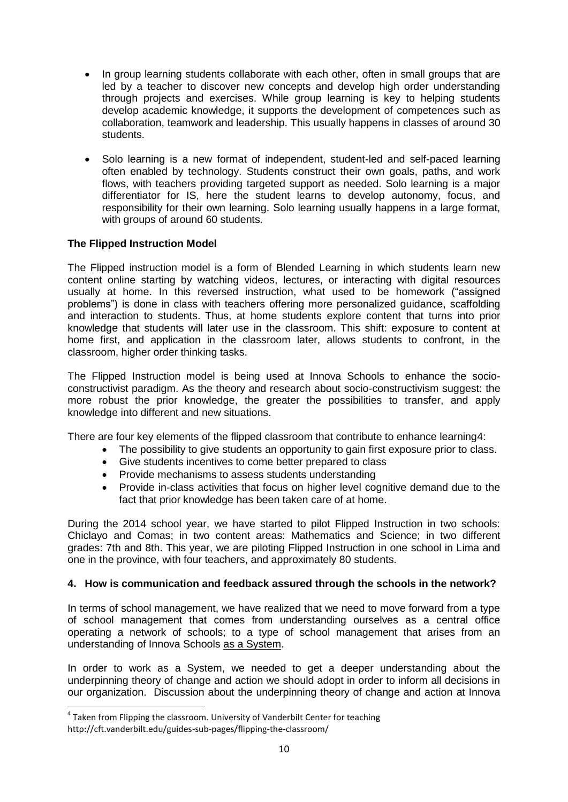- In group learning students collaborate with each other, often in small groups that are led by a teacher to discover new concepts and develop high order understanding through projects and exercises. While group learning is key to helping students develop academic knowledge, it supports the development of competences such as collaboration, teamwork and leadership. This usually happens in classes of around 30 students.
- Solo learning is a new format of independent, student-led and self-paced learning often enabled by technology. Students construct their own goals, paths, and work flows, with teachers providing targeted support as needed. Solo learning is a major differentiator for IS, here the student learns to develop autonomy, focus, and responsibility for their own learning. Solo learning usually happens in a large format, with groups of around 60 students.

# **The Flipped Instruction Model**

The Flipped instruction model is a form of Blended Learning in which students learn new content online starting by watching videos, lectures, or interacting with digital resources usually at home. In this reversed instruction, what used to be homework ("assigned problems") is done in class with teachers offering more personalized guidance, scaffolding and interaction to students. Thus, at home students explore content that turns into prior knowledge that students will later use in the classroom. This shift: exposure to content at home first, and application in the classroom later, allows students to confront, in the classroom, higher order thinking tasks.

The Flipped Instruction model is being used at Innova Schools to enhance the socioconstructivist paradigm. As the theory and research about socio-constructivism suggest: the more robust the prior knowledge, the greater the possibilities to transfer, and apply knowledge into different and new situations.

There are four key elements of the flipped classroom that contribute to enhance learning4:

- The possibility to give students an opportunity to gain first exposure prior to class.
- Give students incentives to come better prepared to class
- Provide mechanisms to assess students understanding
- Provide in-class activities that focus on higher level cognitive demand due to the fact that prior knowledge has been taken care of at home.

During the 2014 school year, we have started to pilot Flipped Instruction in two schools: Chiclayo and Comas; in two content areas: Mathematics and Science; in two different grades: 7th and 8th. This year, we are piloting Flipped Instruction in one school in Lima and one in the province, with four teachers, and approximately 80 students.

# **4. How is communication and feedback assured through the schools in the network?**

In terms of school management, we have realized that we need to move forward from a type of school management that comes from understanding ourselves as a central office operating a network of schools; to a type of school management that arises from an understanding of Innova Schools as a System.

In order to work as a System, we needed to get a deeper understanding about the underpinning theory of change and action we should adopt in order to inform all decisions in our organization. Discussion about the underpinning theory of change and action at Innova

 $\overline{a}$ 

<sup>&</sup>lt;sup>4</sup> Taken from Flipping the classroom. University of Vanderbilt Center for teaching http://cft.vanderbilt.edu/guides-sub-pages/flipping-the-classroom/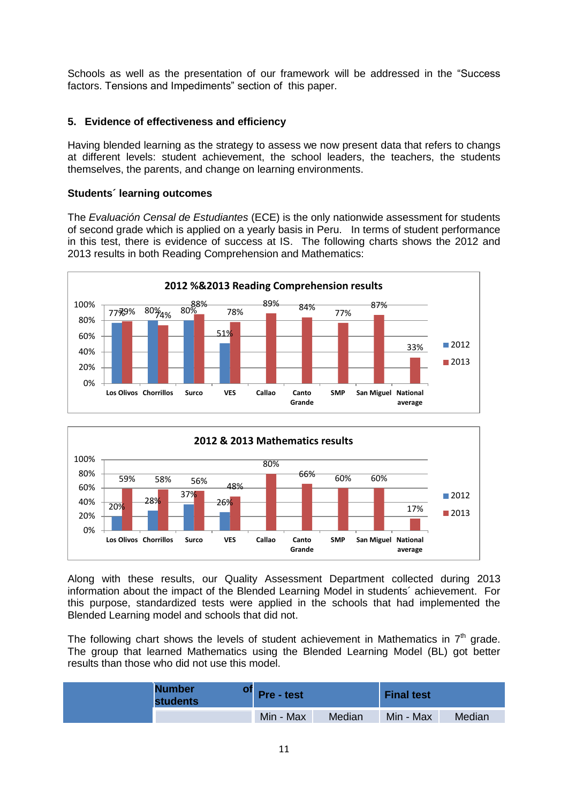Schools as well as the presentation of our framework will be addressed in the "Success factors. Tensions and Impediments" section of this paper.

# **5. Evidence of effectiveness and efficiency**

Having blended learning as the strategy to assess we now present data that refers to changs at different levels: student achievement, the school leaders, the teachers, the students themselves, the parents, and change on learning environments.

# **Students´ learning outcomes**

The *Evaluación Censal de Estudiantes* (ECE) is the only nationwide assessment for students of second grade which is applied on a yearly basis in Peru. In terms of student performance in this test, there is evidence of success at IS. The following charts shows the 2012 and 2013 results in both Reading Comprehension and Mathematics:





Along with these results, our Quality Assessment Department collected during 2013 information about the impact of the Blended Learning Model in students´ achievement. For this purpose, standardized tests were applied in the schools that had implemented the Blended Learning model and schools that did not.

The following chart shows the levels of student achievement in Mathematics in  $7<sup>th</sup>$  grade. The group that learned Mathematics using the Blended Learning Model (BL) got better results than those who did not use this model.

| <b>Number</b><br><b>students</b> | <b>Pre</b> - test |        | <b>Final test</b> |        |
|----------------------------------|-------------------|--------|-------------------|--------|
|                                  | Min - Max         | Median | Min - Max         | Median |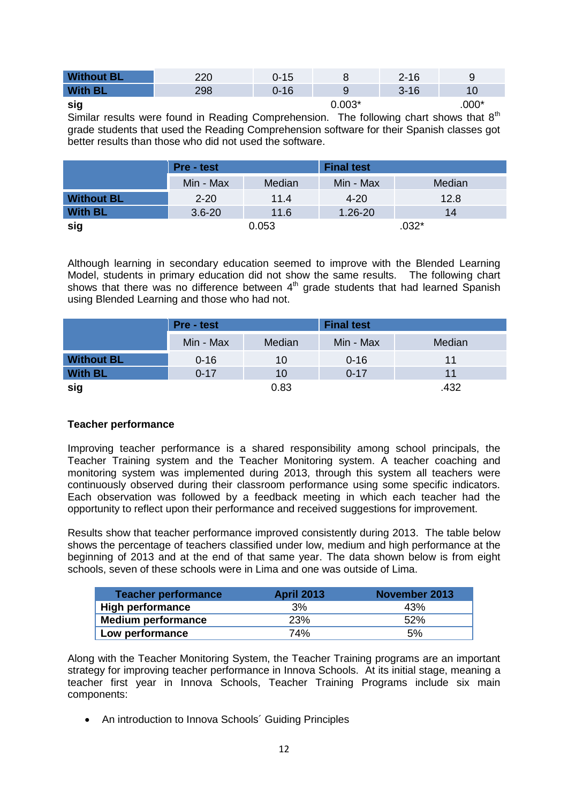| <b>Without BL</b> | חרר | 0-15 |          | $2 - 16$ |         |
|-------------------|-----|------|----------|----------|---------|
| <b>With BL</b>    | 298 | 0-16 |          | $3 - 16$ |         |
| sig               |     |      | $0.003*$ |          | $.000*$ |

Similar results were found in Reading Comprehension. The following chart shows that  $8<sup>th</sup>$ grade students that used the Reading Comprehension software for their Spanish classes got better results than those who did not used the software.

|                   | <b>Pre</b> - test |        | <b>Final test</b> |        |
|-------------------|-------------------|--------|-------------------|--------|
|                   | Min - Max         | Median | Min - Max         | Median |
| <b>Without BL</b> | $2 - 20$          | 11.4   | $4 - 20$          | 12.8   |
| <b>With BL</b>    | $3.6 - 20$        | 11.6   | $1.26 - 20$       | 14     |
| sig               |                   | 0.053  |                   | $032*$ |

Although learning in secondary education seemed to improve with the Blended Learning Model, students in primary education did not show the same results. The following chart shows that there was no difference between  $4<sup>th</sup>$  grade students that had learned Spanish using Blended Learning and those who had not.

|                   | <b>Pre</b> - test |        | <b>Final test</b> |        |
|-------------------|-------------------|--------|-------------------|--------|
|                   | Min - Max         | Median | Min - Max         | Median |
| <b>Without BL</b> | $0 - 16$          | 10     | $0 - 16$          | 11     |
| <b>With BL</b>    | $0 - 17$          | 10     | $0 - 17$          | 11     |
| sig               |                   | 0.83   |                   | .432   |

# **Teacher performance**

Improving teacher performance is a shared responsibility among school principals, the Teacher Training system and the Teacher Monitoring system. A teacher coaching and monitoring system was implemented during 2013, through this system all teachers were continuously observed during their classroom performance using some specific indicators. Each observation was followed by a feedback meeting in which each teacher had the opportunity to reflect upon their performance and received suggestions for improvement.

Results show that teacher performance improved consistently during 2013. The table below shows the percentage of teachers classified under low, medium and high performance at the beginning of 2013 and at the end of that same year. The data shown below is from eight schools, seven of these schools were in Lima and one was outside of Lima.

| Teacher performance     | <b>April 2013</b> | November 2013 |
|-------------------------|-------------------|---------------|
| <b>High performance</b> | 3%                | 43%           |
| Medium performance      | 23%               | 52%           |
| Low performance         | 74%               | 5%            |

Along with the Teacher Monitoring System, the Teacher Training programs are an important strategy for improving teacher performance in Innova Schools. At its initial stage, meaning a teacher first year in Innova Schools, Teacher Training Programs include six main components:

• An introduction to Innova Schools' Guiding Principles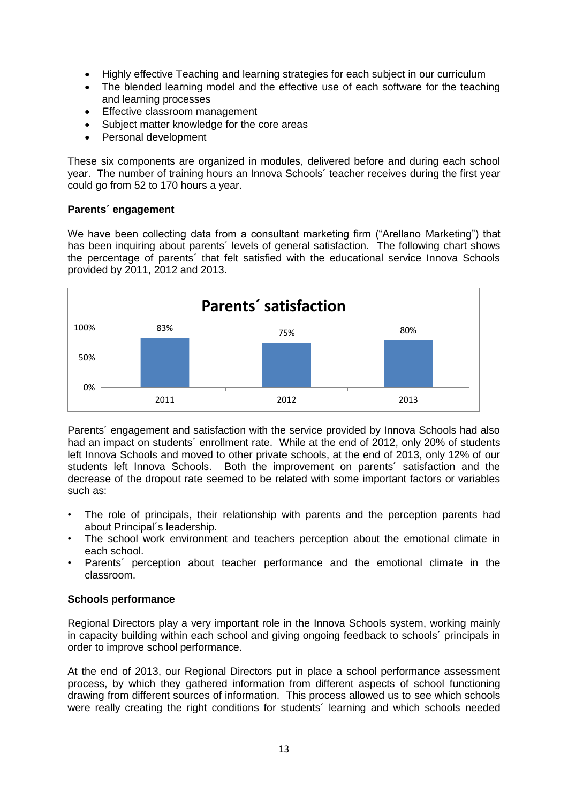- Highly effective Teaching and learning strategies for each subject in our curriculum
- The blended learning model and the effective use of each software for the teaching and learning processes
- Effective classroom management
- Subject matter knowledge for the core areas
- Personal development

These six components are organized in modules, delivered before and during each school year. The number of training hours an Innova Schools´ teacher receives during the first year could go from 52 to 170 hours a year.

# **Parents´ engagement**

We have been collecting data from a consultant marketing firm ("Arellano Marketing") that has been inquiring about parents' levels of general satisfaction. The following chart shows the percentage of parents´ that felt satisfied with the educational service Innova Schools provided by 2011, 2012 and 2013.



Parents´ engagement and satisfaction with the service provided by Innova Schools had also had an impact on students´ enrollment rate. While at the end of 2012, only 20% of students left Innova Schools and moved to other private schools, at the end of 2013, only 12% of our students left Innova Schools. Both the improvement on parents´ satisfaction and the decrease of the dropout rate seemed to be related with some important factors or variables such as:

- The role of principals, their relationship with parents and the perception parents had about Principal´s leadership.
- The school work environment and teachers perception about the emotional climate in each school.
- Parents´ perception about teacher performance and the emotional climate in the classroom.

# **Schools performance**

Regional Directors play a very important role in the Innova Schools system, working mainly in capacity building within each school and giving ongoing feedback to schools´ principals in order to improve school performance.

At the end of 2013, our Regional Directors put in place a school performance assessment process, by which they gathered information from different aspects of school functioning drawing from different sources of information. This process allowed us to see which schools were really creating the right conditions for students´ learning and which schools needed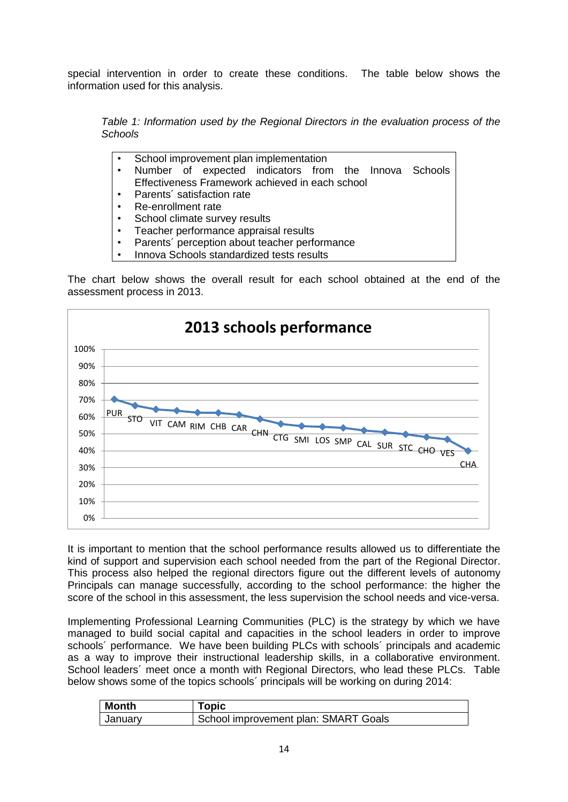special intervention in order to create these conditions. The table below shows the information used for this analysis.

*Table 1: Information used by the Regional Directors in the evaluation process of the Schools*

- School improvement plan implementation
- Number of expected indicators from the Innova Schools Effectiveness Framework achieved in each school
- Parents´ satisfaction rate
- Re-enrollment rate
- School climate survey results
- Teacher performance appraisal results
- Parents' perception about teacher performance
- Innova Schools standardized tests results

The chart below shows the overall result for each school obtained at the end of the assessment process in 2013.



It is important to mention that the school performance results allowed us to differentiate the kind of support and supervision each school needed from the part of the Regional Director. This process also helped the regional directors figure out the different levels of autonomy Principals can manage successfully, according to the school performance: the higher the score of the school in this assessment, the less supervision the school needs and vice-versa.

Implementing Professional Learning Communities (PLC) is the strategy by which we have managed to build social capital and capacities in the school leaders in order to improve schools´ performance. We have been building PLCs with schools´ principals and academic as a way to improve their instructional leadership skills, in a collaborative environment. School leaders´ meet once a month with Regional Directors, who lead these PLCs. Table below shows some of the topics schools´ principals will be working on during 2014:

| <b>Month</b> | <b>Topic</b>                         |
|--------------|--------------------------------------|
| January      | School improvement plan: SMART Goals |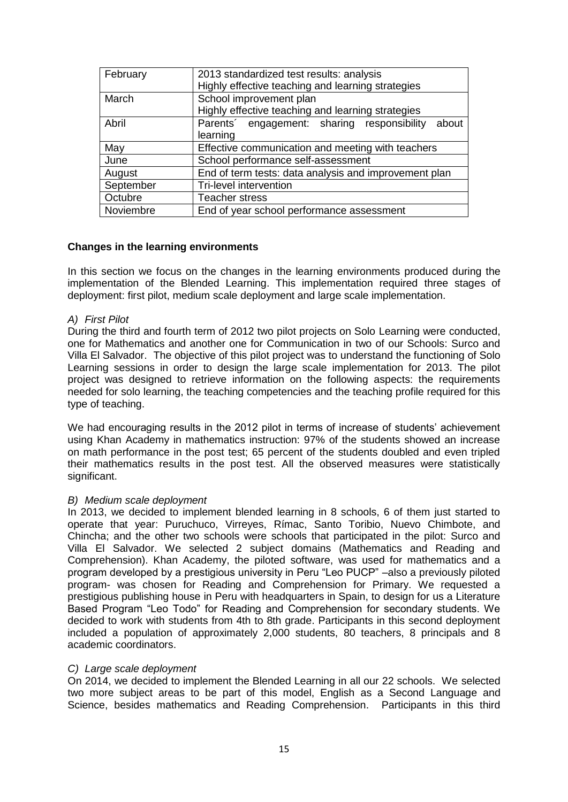| February  | 2013 standardized test results: analysis<br>Highly effective teaching and learning strategies |  |
|-----------|-----------------------------------------------------------------------------------------------|--|
| March     | School improvement plan<br>Highly effective teaching and learning strategies                  |  |
| Abril     | Parents' engagement: sharing responsibility<br>about                                          |  |
|           | learning                                                                                      |  |
| May       | Effective communication and meeting with teachers                                             |  |
| June      | School performance self-assessment                                                            |  |
| August    | End of term tests: data analysis and improvement plan                                         |  |
| September | Tri-level intervention                                                                        |  |
| Octubre   | <b>Teacher stress</b>                                                                         |  |
| Noviembre | End of year school performance assessment                                                     |  |

# **Changes in the learning environments**

In this section we focus on the changes in the learning environments produced during the implementation of the Blended Learning. This implementation required three stages of deployment: first pilot, medium scale deployment and large scale implementation.

# *A) First Pilot*

During the third and fourth term of 2012 two pilot projects on Solo Learning were conducted, one for Mathematics and another one for Communication in two of our Schools: Surco and Villa El Salvador. The objective of this pilot project was to understand the functioning of Solo Learning sessions in order to design the large scale implementation for 2013. The pilot project was designed to retrieve information on the following aspects: the requirements needed for solo learning, the teaching competencies and the teaching profile required for this type of teaching.

We had encouraging results in the 2012 pilot in terms of increase of students' achievement using Khan Academy in mathematics instruction: 97% of the students showed an increase on math performance in the post test; 65 percent of the students doubled and even tripled their mathematics results in the post test. All the observed measures were statistically significant.

### *B) Medium scale deployment*

In 2013, we decided to implement blended learning in 8 schools, 6 of them just started to operate that year: Puruchuco, Virreyes, Rímac, Santo Toribio, Nuevo Chimbote, and Chincha; and the other two schools were schools that participated in the pilot: Surco and Villa El Salvador. We selected 2 subject domains (Mathematics and Reading and Comprehension). Khan Academy, the piloted software, was used for mathematics and a program developed by a prestigious university in Peru "Leo PUCP" –also a previously piloted program- was chosen for Reading and Comprehension for Primary. We requested a prestigious publishing house in Peru with headquarters in Spain, to design for us a Literature Based Program "Leo Todo" for Reading and Comprehension for secondary students. We decided to work with students from 4th to 8th grade. Participants in this second deployment included a population of approximately 2,000 students, 80 teachers, 8 principals and 8 academic coordinators.

### *C) Large scale deployment*

On 2014, we decided to implement the Blended Learning in all our 22 schools. We selected two more subject areas to be part of this model, English as a Second Language and Science, besides mathematics and Reading Comprehension. Participants in this third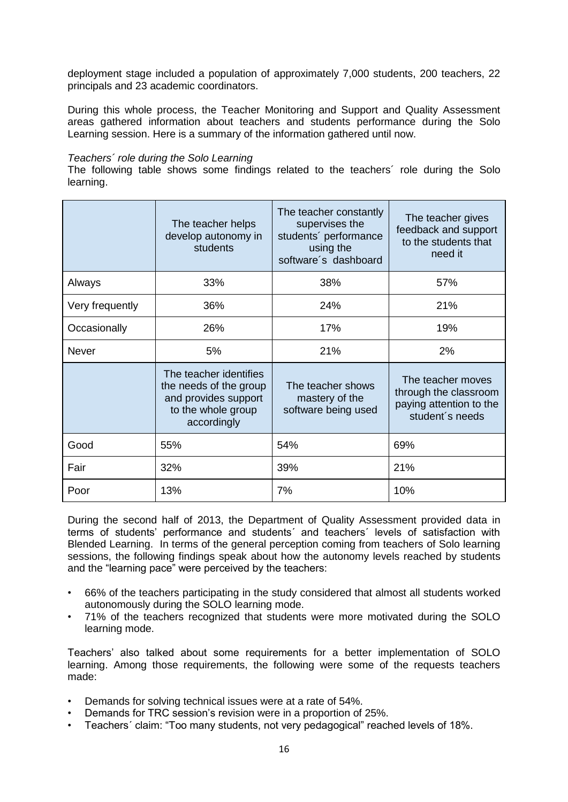deployment stage included a population of approximately 7,000 students, 200 teachers, 22 principals and 23 academic coordinators.

During this whole process, the Teacher Monitoring and Support and Quality Assessment areas gathered information about teachers and students performance during the Solo Learning session. Here is a summary of the information gathered until now.

### *Teachers´ role during the Solo Learning*

The following table shows some findings related to the teachers´ role during the Solo learning.

|                 | The teacher helps<br>develop autonomy in<br>students                                                          | The teacher constantly<br>supervises the<br>students' performance<br>using the<br>software's dashboard | The teacher gives<br>feedback and support<br>to the students that<br>need it             |
|-----------------|---------------------------------------------------------------------------------------------------------------|--------------------------------------------------------------------------------------------------------|------------------------------------------------------------------------------------------|
| Always          | 33%                                                                                                           | 38%                                                                                                    | 57%                                                                                      |
| Very frequently | 36%                                                                                                           | 24%                                                                                                    | 21%                                                                                      |
| Occasionally    | 26%                                                                                                           | 17%                                                                                                    | 19%                                                                                      |
| <b>Never</b>    | 5%                                                                                                            | 21%                                                                                                    | 2%                                                                                       |
|                 | The teacher identifies<br>the needs of the group<br>and provides support<br>to the whole group<br>accordingly | The teacher shows<br>mastery of the<br>software being used                                             | The teacher moves<br>through the classroom<br>paying attention to the<br>student's needs |
| Good            | 55%                                                                                                           | 54%                                                                                                    | 69%                                                                                      |
| Fair            | 32%                                                                                                           | 39%                                                                                                    | 21%                                                                                      |
| Poor            | 13%                                                                                                           | 7%                                                                                                     | 10%                                                                                      |

During the second half of 2013, the Department of Quality Assessment provided data in terms of students' performance and students´ and teachers´ levels of satisfaction with Blended Learning. In terms of the general perception coming from teachers of Solo learning sessions, the following findings speak about how the autonomy levels reached by students and the "learning pace" were perceived by the teachers:

- 66% of the teachers participating in the study considered that almost all students worked autonomously during the SOLO learning mode.
- 71% of the teachers recognized that students were more motivated during the SOLO learning mode.

Teachers' also talked about some requirements for a better implementation of SOLO learning. Among those requirements, the following were some of the requests teachers made:

- Demands for solving technical issues were at a rate of 54%.
- Demands for TRC session's revision were in a proportion of 25%.
- Teachers´ claim: "Too many students, not very pedagogical" reached levels of 18%.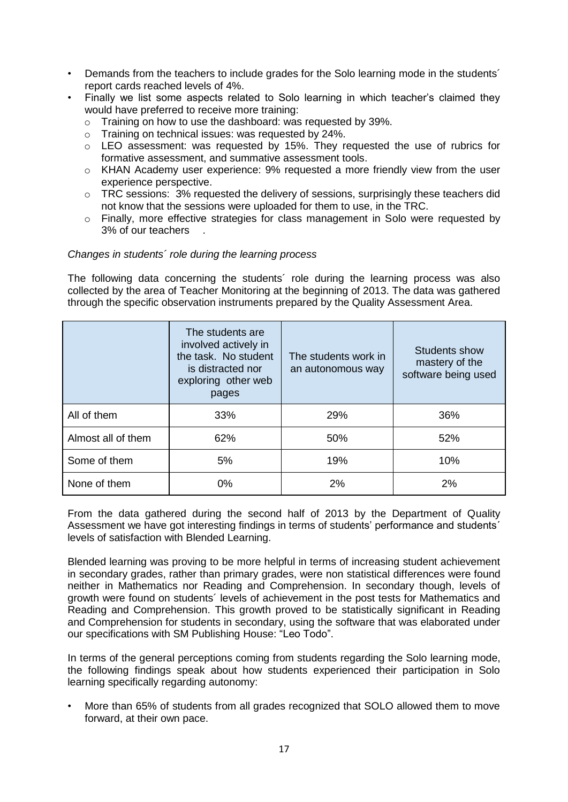- Demands from the teachers to include grades for the Solo learning mode in the students´ report cards reached levels of 4%.
- Finally we list some aspects related to Solo learning in which teacher's claimed they would have preferred to receive more training:
	- o Training on how to use the dashboard: was requested by 39%.
	- o Training on technical issues: was requested by 24%.
	- $\circ$  LEO assessment: was requested by 15%. They requested the use of rubrics for formative assessment, and summative assessment tools.
	- o KHAN Academy user experience: 9% requested a more friendly view from the user experience perspective.
	- $\circ$  TRC sessions: 3% requested the delivery of sessions, surprisingly these teachers did not know that the sessions were uploaded for them to use, in the TRC.
	- o Finally, more effective strategies for class management in Solo were requested by 3% of our teachers .

# *Changes in students´ role during the learning process*

The following data concerning the students´ role during the learning process was also collected by the area of Teacher Monitoring at the beginning of 2013. The data was gathered through the specific observation instruments prepared by the Quality Assessment Area.

|                    | The students are<br>involved actively in<br>the task. No student<br>is distracted nor<br>exploring other web<br>pages | The students work in<br>an autonomous way | <b>Students show</b><br>mastery of the<br>software being used |
|--------------------|-----------------------------------------------------------------------------------------------------------------------|-------------------------------------------|---------------------------------------------------------------|
| All of them        | 33%                                                                                                                   | 29%                                       | 36%                                                           |
| Almost all of them | 62%                                                                                                                   | 50%                                       | 52%                                                           |
| Some of them       | 5%                                                                                                                    | 19%                                       | 10%                                                           |
| None of them       | $0\%$                                                                                                                 | 2%                                        | 2%                                                            |

From the data gathered during the second half of 2013 by the Department of Quality Assessment we have got interesting findings in terms of students' performance and students´ levels of satisfaction with Blended Learning.

Blended learning was proving to be more helpful in terms of increasing student achievement in secondary grades, rather than primary grades, were non statistical differences were found neither in Mathematics nor Reading and Comprehension. In secondary though, levels of growth were found on students´ levels of achievement in the post tests for Mathematics and Reading and Comprehension. This growth proved to be statistically significant in Reading and Comprehension for students in secondary, using the software that was elaborated under our specifications with SM Publishing House: "Leo Todo".

In terms of the general perceptions coming from students regarding the Solo learning mode, the following findings speak about how students experienced their participation in Solo learning specifically regarding autonomy:

• More than 65% of students from all grades recognized that SOLO allowed them to move forward, at their own pace.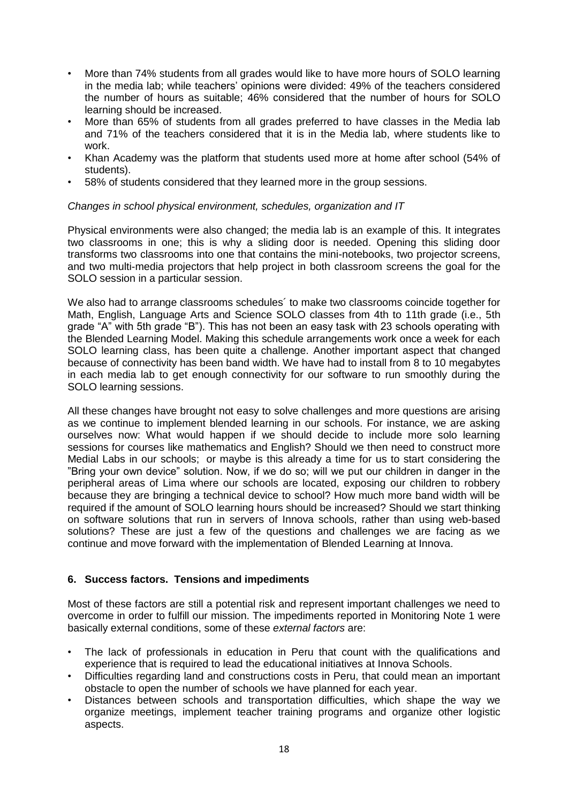- More than 74% students from all grades would like to have more hours of SOLO learning in the media lab; while teachers' opinions were divided: 49% of the teachers considered the number of hours as suitable; 46% considered that the number of hours for SOLO learning should be increased.
- More than 65% of students from all grades preferred to have classes in the Media lab and 71% of the teachers considered that it is in the Media lab, where students like to work.
- Khan Academy was the platform that students used more at home after school (54% of students).
- 58% of students considered that they learned more in the group sessions.

# *Changes in school physical environment, schedules, organization and IT*

Physical environments were also changed; the media lab is an example of this. It integrates two classrooms in one; this is why a sliding door is needed. Opening this sliding door transforms two classrooms into one that contains the mini-notebooks, two projector screens, and two multi-media projectors that help project in both classroom screens the goal for the SOLO session in a particular session.

We also had to arrange classrooms schedules´ to make two classrooms coincide together for Math, English, Language Arts and Science SOLO classes from 4th to 11th grade (i.e., 5th grade "A" with 5th grade "B"). This has not been an easy task with 23 schools operating with the Blended Learning Model. Making this schedule arrangements work once a week for each SOLO learning class, has been quite a challenge. Another important aspect that changed because of connectivity has been band width. We have had to install from 8 to 10 megabytes in each media lab to get enough connectivity for our software to run smoothly during the SOLO learning sessions.

All these changes have brought not easy to solve challenges and more questions are arising as we continue to implement blended learning in our schools. For instance, we are asking ourselves now: What would happen if we should decide to include more solo learning sessions for courses like mathematics and English? Should we then need to construct more Medial Labs in our schools; or maybe is this already a time for us to start considering the "Bring your own device" solution. Now, if we do so; will we put our children in danger in the peripheral areas of Lima where our schools are located, exposing our children to robbery because they are bringing a technical device to school? How much more band width will be required if the amount of SOLO learning hours should be increased? Should we start thinking on software solutions that run in servers of Innova schools, rather than using web-based solutions? These are just a few of the questions and challenges we are facing as we continue and move forward with the implementation of Blended Learning at Innova.

# **6. Success factors. Tensions and impediments**

Most of these factors are still a potential risk and represent important challenges we need to overcome in order to fulfill our mission. The impediments reported in Monitoring Note 1 were basically external conditions, some of these *external factors* are:

- The lack of professionals in education in Peru that count with the qualifications and experience that is required to lead the educational initiatives at Innova Schools.
- Difficulties regarding land and constructions costs in Peru, that could mean an important obstacle to open the number of schools we have planned for each year.
- Distances between schools and transportation difficulties, which shape the way we organize meetings, implement teacher training programs and organize other logistic aspects.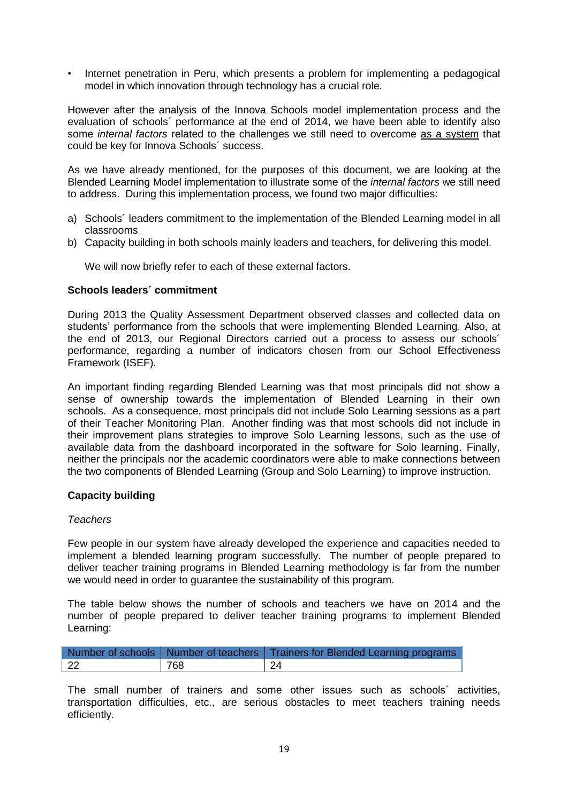• Internet penetration in Peru, which presents a problem for implementing a pedagogical model in which innovation through technology has a crucial role.

However after the analysis of the Innova Schools model implementation process and the evaluation of schools´ performance at the end of 2014, we have been able to identify also some *internal factors* related to the challenges we still need to overcome as a system that could be key for Innova Schools´ success.

As we have already mentioned, for the purposes of this document, we are looking at the Blended Learning Model implementation to illustrate some of the *internal factors* we still need to address. During this implementation process, we found two major difficulties:

- a) Schools´ leaders commitment to the implementation of the Blended Learning model in all classrooms
- b) Capacity building in both schools mainly leaders and teachers, for delivering this model.

We will now briefly refer to each of these external factors.

# **Schools leaders´ commitment**

During 2013 the Quality Assessment Department observed classes and collected data on students' performance from the schools that were implementing Blended Learning. Also, at the end of 2013, our Regional Directors carried out a process to assess our schools´ performance, regarding a number of indicators chosen from our School Effectiveness Framework (ISEF).

An important finding regarding Blended Learning was that most principals did not show a sense of ownership towards the implementation of Blended Learning in their own schools. As a consequence, most principals did not include Solo Learning sessions as a part of their Teacher Monitoring Plan. Another finding was that most schools did not include in their improvement plans strategies to improve Solo Learning lessons, such as the use of available data from the dashboard incorporated in the software for Solo learning. Finally, neither the principals nor the academic coordinators were able to make connections between the two components of Blended Learning (Group and Solo Learning) to improve instruction.

# **Capacity building**

### *Teachers*

Few people in our system have already developed the experience and capacities needed to implement a blended learning program successfully. The number of people prepared to deliver teacher training programs in Blended Learning methodology is far from the number we would need in order to guarantee the sustainability of this program.

The table below shows the number of schools and teachers we have on 2014 and the number of people prepared to deliver teacher training programs to implement Blended Learning:

|     |     | Number of schools   Number of teachers   Trainers for Blended Learning programs |
|-----|-----|---------------------------------------------------------------------------------|
| -22 | 768 | -24                                                                             |

The small number of trainers and some other issues such as schools´ activities, transportation difficulties, etc., are serious obstacles to meet teachers training needs efficiently.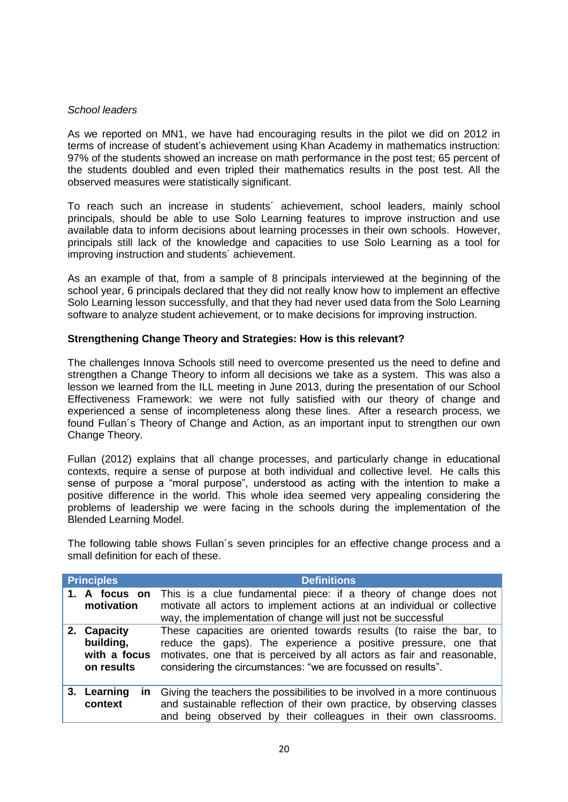# *School leaders*

As we reported on MN1, we have had encouraging results in the pilot we did on 2012 in terms of increase of student's achievement using Khan Academy in mathematics instruction: 97% of the students showed an increase on math performance in the post test; 65 percent of the students doubled and even tripled their mathematics results in the post test. All the observed measures were statistically significant.

To reach such an increase in students´ achievement, school leaders, mainly school principals, should be able to use Solo Learning features to improve instruction and use available data to inform decisions about learning processes in their own schools. However, principals still lack of the knowledge and capacities to use Solo Learning as a tool for improving instruction and students´ achievement.

As an example of that, from a sample of 8 principals interviewed at the beginning of the school year, 6 principals declared that they did not really know how to implement an effective Solo Learning lesson successfully, and that they had never used data from the Solo Learning software to analyze student achievement, or to make decisions for improving instruction.

# **Strengthening Change Theory and Strategies: How is this relevant?**

The challenges Innova Schools still need to overcome presented us the need to define and strengthen a Change Theory to inform all decisions we take as a system. This was also a lesson we learned from the ILL meeting in June 2013, during the presentation of our School Effectiveness Framework: we were not fully satisfied with our theory of change and experienced a sense of incompleteness along these lines. After a research process, we found Fullan´s Theory of Change and Action, as an important input to strengthen our own Change Theory.

Fullan (2012) explains that all change processes, and particularly change in educational contexts, require a sense of purpose at both individual and collective level. He calls this sense of purpose a "moral purpose", understood as acting with the intention to make a positive difference in the world. This whole idea seemed very appealing considering the problems of leadership we were facing in the schools during the implementation of the Blended Learning Model.

The following table shows Fullan´s seven principles for an effective change process and a small definition for each of these.

|    | <b>Principles</b>                                   | <b>Definitions</b>                                                                                                                                                                                                                                                              |
|----|-----------------------------------------------------|---------------------------------------------------------------------------------------------------------------------------------------------------------------------------------------------------------------------------------------------------------------------------------|
|    | A focus on<br>motivation                            | This is a clue fundamental piece: if a theory of change does not<br>motivate all actors to implement actions at an individual or collective<br>way, the implementation of change will just not be successful                                                                    |
| 2. | Capacity<br>building,<br>with a focus<br>on results | These capacities are oriented towards results (to raise the bar, to<br>reduce the gaps). The experience a positive pressure, one that<br>motivates, one that is perceived by all actors as fair and reasonable,<br>considering the circumstances: "we are focussed on results". |
|    | 3. Learning<br>in.<br>context                       | Giving the teachers the possibilities to be involved in a more continuous<br>and sustainable reflection of their own practice, by observing classes<br>and being observed by their colleagues in their own classrooms.                                                          |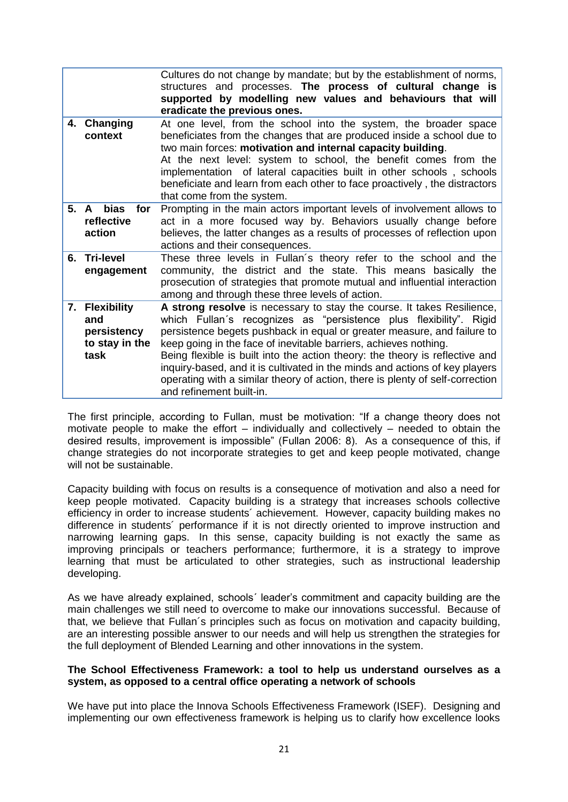|    |                                                                | Cultures do not change by mandate; but by the establishment of norms,<br>structures and processes. The process of cultural change is<br>supported by modelling new values and behaviours that will<br>eradicate the previous ones.                                                                                                                                                                                                                                                                                                                                      |
|----|----------------------------------------------------------------|-------------------------------------------------------------------------------------------------------------------------------------------------------------------------------------------------------------------------------------------------------------------------------------------------------------------------------------------------------------------------------------------------------------------------------------------------------------------------------------------------------------------------------------------------------------------------|
|    | 4. Changing<br>context                                         | At one level, from the school into the system, the broader space<br>beneficiates from the changes that are produced inside a school due to<br>two main forces: motivation and internal capacity building.<br>At the next level: system to school, the benefit comes from the<br>implementation of lateral capacities built in other schools, schools<br>beneficiate and learn from each other to face proactively, the distractors<br>that come from the system.                                                                                                        |
|    | 5. A bias<br>for<br>reflective<br>action                       | Prompting in the main actors important levels of involvement allows to<br>act in a more focused way by. Behaviors usually change before<br>believes, the latter changes as a results of processes of reflection upon<br>actions and their consequences.                                                                                                                                                                                                                                                                                                                 |
| 6. | <b>Tri-level</b><br>engagement                                 | These three levels in Fullan's theory refer to the school and the<br>community, the district and the state. This means basically the<br>prosecution of strategies that promote mutual and influential interaction<br>among and through these three levels of action.                                                                                                                                                                                                                                                                                                    |
|    | 7. Flexibility<br>and<br>persistency<br>to stay in the<br>task | A strong resolve is necessary to stay the course. It takes Resilience,<br>which Fullan's recognizes as "persistence plus flexibility". Rigid<br>persistence begets pushback in equal or greater measure, and failure to<br>keep going in the face of inevitable barriers, achieves nothing.<br>Being flexible is built into the action theory: the theory is reflective and<br>inquiry-based, and it is cultivated in the minds and actions of key players<br>operating with a similar theory of action, there is plenty of self-correction<br>and refinement built-in. |

The first principle, according to Fullan, must be motivation: "If a change theory does not motivate people to make the effort – individually and collectively – needed to obtain the desired results, improvement is impossible" (Fullan 2006: 8). As a consequence of this, if change strategies do not incorporate strategies to get and keep people motivated, change will not be sustainable.

Capacity building with focus on results is a consequence of motivation and also a need for keep people motivated. Capacity building is a strategy that increases schools collective efficiency in order to increase students´ achievement. However, capacity building makes no difference in students´ performance if it is not directly oriented to improve instruction and narrowing learning gaps. In this sense, capacity building is not exactly the same as improving principals or teachers performance; furthermore, it is a strategy to improve learning that must be articulated to other strategies, such as instructional leadership developing.

As we have already explained, schools´ leader's commitment and capacity building are the main challenges we still need to overcome to make our innovations successful. Because of that, we believe that Fullan´s principles such as focus on motivation and capacity building, are an interesting possible answer to our needs and will help us strengthen the strategies for the full deployment of Blended Learning and other innovations in the system.

# **The School Effectiveness Framework: a tool to help us understand ourselves as a system, as opposed to a central office operating a network of schools**

We have put into place the Innova Schools Effectiveness Framework (ISEF). Designing and implementing our own effectiveness framework is helping us to clarify how excellence looks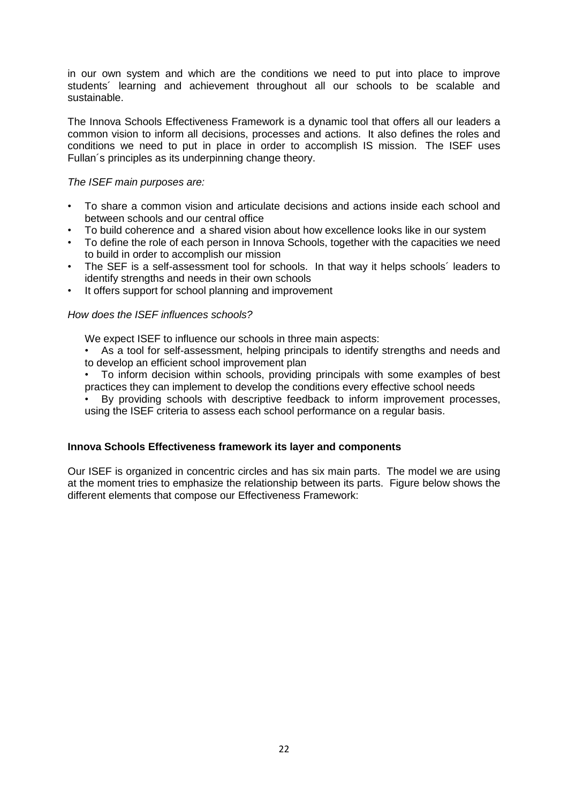in our own system and which are the conditions we need to put into place to improve students´ learning and achievement throughout all our schools to be scalable and sustainable.

The Innova Schools Effectiveness Framework is a dynamic tool that offers all our leaders a common vision to inform all decisions, processes and actions. It also defines the roles and conditions we need to put in place in order to accomplish IS mission. The ISEF uses Fullan´s principles as its underpinning change theory.

# *The ISEF main purposes are:*

- To share a common vision and articulate decisions and actions inside each school and between schools and our central office
- To build coherence and a shared vision about how excellence looks like in our system
- To define the role of each person in Innova Schools, together with the capacities we need to build in order to accomplish our mission
- The SEF is a self-assessment tool for schools. In that way it helps schools´ leaders to identify strengths and needs in their own schools
- It offers support for school planning and improvement

# *How does the ISEF influences schools?*

We expect ISEF to influence our schools in three main aspects:

- As a tool for self-assessment, helping principals to identify strengths and needs and to develop an efficient school improvement plan
- To inform decision within schools, providing principals with some examples of best practices they can implement to develop the conditions every effective school needs

By providing schools with descriptive feedback to inform improvement processes, using the ISEF criteria to assess each school performance on a regular basis.

# **Innova Schools Effectiveness framework its layer and components**

Our ISEF is organized in concentric circles and has six main parts. The model we are using at the moment tries to emphasize the relationship between its parts. Figure below shows the different elements that compose our Effectiveness Framework: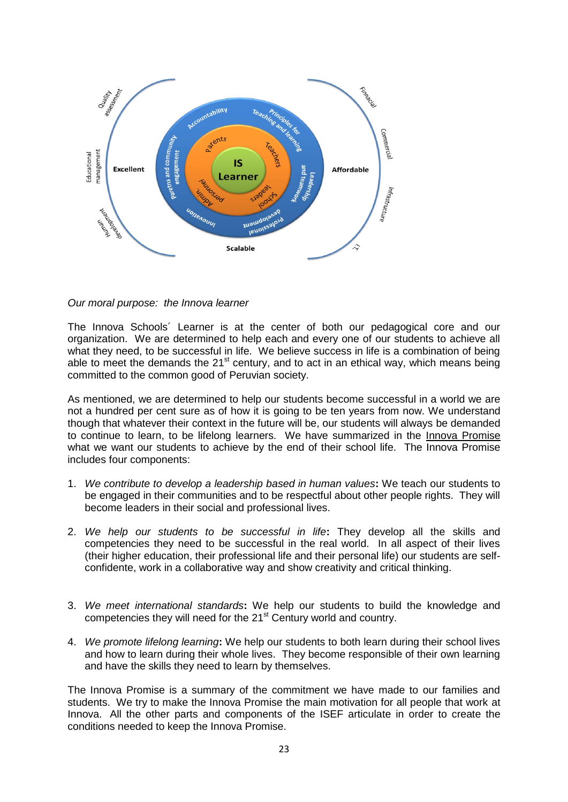

*Our moral purpose: the Innova learner*

The Innova Schools´ Learner is at the center of both our pedagogical core and our organization. We are determined to help each and every one of our students to achieve all what they need, to be successful in life. We believe success in life is a combination of being able to meet the demands the  $21<sup>st</sup>$  century, and to act in an ethical way, which means being committed to the common good of Peruvian society.

As mentioned, we are determined to help our students become successful in a world we are not a hundred per cent sure as of how it is going to be ten years from now. We understand though that whatever their context in the future will be, our students will always be demanded to continue to learn, to be lifelong learners. We have summarized in the Innova Promise what we want our students to achieve by the end of their school life. The Innova Promise includes four components:

- 1. *We contribute to develop a leadership based in human values***:** We teach our students to be engaged in their communities and to be respectful about other people rights. They will become leaders in their social and professional lives.
- 2. *We help our students to be successful in life***:** They develop all the skills and competencies they need to be successful in the real world. In all aspect of their lives (their higher education, their professional life and their personal life) our students are selfconfidente, work in a collaborative way and show creativity and critical thinking.
- 3. *We meet international standards***:** We help our students to build the knowledge and competencies they will need for the 21<sup>st</sup> Century world and country.
- 4. *We promote lifelong learning***:** We help our students to both learn during their school lives and how to learn during their whole lives. They become responsible of their own learning and have the skills they need to learn by themselves.

The Innova Promise is a summary of the commitment we have made to our families and students. We try to make the Innova Promise the main motivation for all people that work at Innova. All the other parts and components of the ISEF articulate in order to create the conditions needed to keep the Innova Promise.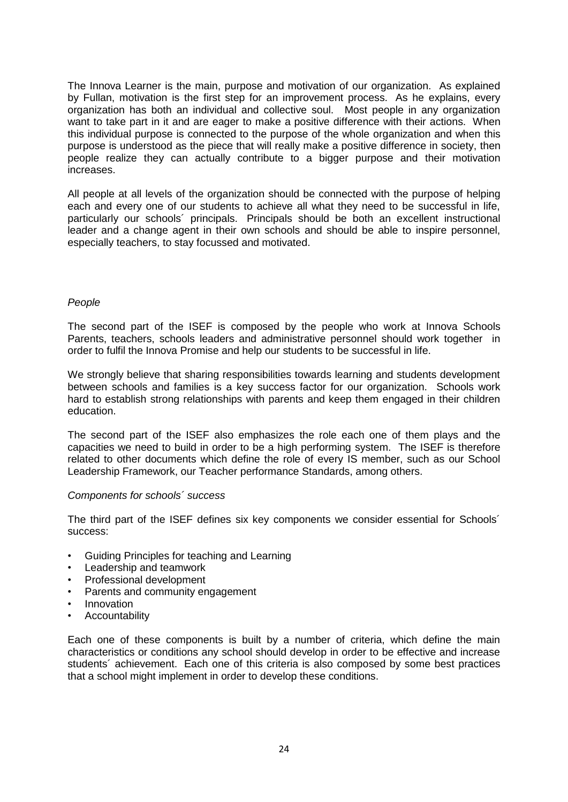The Innova Learner is the main, purpose and motivation of our organization. As explained by Fullan, motivation is the first step for an improvement process. As he explains, every organization has both an individual and collective soul. Most people in any organization want to take part in it and are eager to make a positive difference with their actions. When this individual purpose is connected to the purpose of the whole organization and when this purpose is understood as the piece that will really make a positive difference in society, then people realize they can actually contribute to a bigger purpose and their motivation increases.

All people at all levels of the organization should be connected with the purpose of helping each and every one of our students to achieve all what they need to be successful in life, particularly our schools´ principals. Principals should be both an excellent instructional leader and a change agent in their own schools and should be able to inspire personnel, especially teachers, to stay focussed and motivated.

# *People*

The second part of the ISEF is composed by the people who work at Innova Schools Parents, teachers, schools leaders and administrative personnel should work together in order to fulfil the Innova Promise and help our students to be successful in life.

We strongly believe that sharing responsibilities towards learning and students development between schools and families is a key success factor for our organization. Schools work hard to establish strong relationships with parents and keep them engaged in their children education.

The second part of the ISEF also emphasizes the role each one of them plays and the capacities we need to build in order to be a high performing system. The ISEF is therefore related to other documents which define the role of every IS member, such as our School Leadership Framework, our Teacher performance Standards, among others.

# *Components for schools´ success*

The third part of the ISEF defines six key components we consider essential for Schools´ success:

- Guiding Principles for teaching and Learning
- Leadership and teamwork
- Professional development
- Parents and community engagement
- **Innovation**
- **Accountability**

Each one of these components is built by a number of criteria, which define the main characteristics or conditions any school should develop in order to be effective and increase students´ achievement. Each one of this criteria is also composed by some best practices that a school might implement in order to develop these conditions.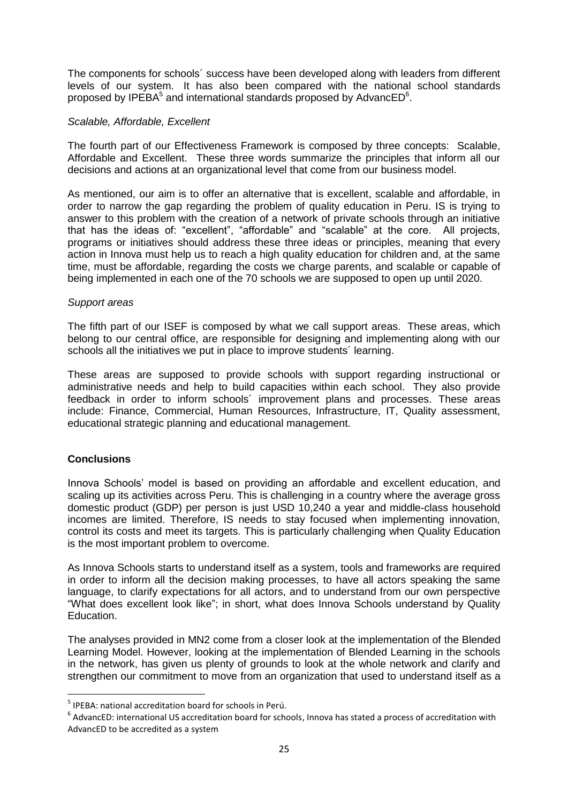The components for schools´ success have been developed along with leaders from different levels of our system. It has also been compared with the national school standards proposed by IPEBA $^5$  and international standards proposed by AdvancED $^6$ .

# *Scalable, Affordable, Excellent*

The fourth part of our Effectiveness Framework is composed by three concepts: Scalable, Affordable and Excellent. These three words summarize the principles that inform all our decisions and actions at an organizational level that come from our business model.

As mentioned, our aim is to offer an alternative that is excellent, scalable and affordable, in order to narrow the gap regarding the problem of quality education in Peru. IS is trying to answer to this problem with the creation of a network of private schools through an initiative that has the ideas of: "excellent", "affordable" and "scalable" at the core. All projects, programs or initiatives should address these three ideas or principles, meaning that every action in Innova must help us to reach a high quality education for children and, at the same time, must be affordable, regarding the costs we charge parents, and scalable or capable of being implemented in each one of the 70 schools we are supposed to open up until 2020.

# *Support areas*

The fifth part of our ISEF is composed by what we call support areas. These areas, which belong to our central office, are responsible for designing and implementing along with our schools all the initiatives we put in place to improve students´ learning.

These areas are supposed to provide schools with support regarding instructional or administrative needs and help to build capacities within each school. They also provide feedback in order to inform schools´ improvement plans and processes. These areas include: Finance, Commercial, Human Resources, Infrastructure, IT, Quality assessment, educational strategic planning and educational management.

# **Conclusions**

 $\overline{\phantom{a}}$ 

Innova Schools' model is based on providing an affordable and excellent education, and scaling up its activities across Peru. This is challenging in a country where the average gross domestic product (GDP) per person is just USD 10,240 a year and middle-class household incomes are limited. Therefore, IS needs to stay focused when implementing innovation, control its costs and meet its targets. This is particularly challenging when Quality Education is the most important problem to overcome.

As Innova Schools starts to understand itself as a system, tools and frameworks are required in order to inform all the decision making processes, to have all actors speaking the same language, to clarify expectations for all actors, and to understand from our own perspective "What does excellent look like"; in short, what does Innova Schools understand by Quality Education.

The analyses provided in MN2 come from a closer look at the implementation of the Blended Learning Model. However, looking at the implementation of Blended Learning in the schools in the network, has given us plenty of grounds to look at the whole network and clarify and strengthen our commitment to move from an organization that used to understand itself as a

<sup>&</sup>lt;sup>5</sup> IPEBA: national accreditation board for schools in Perú.

 $^6$  AdvancED: international US accreditation board for schools, Innova has stated a process of accreditation with AdvancED to be accredited as a system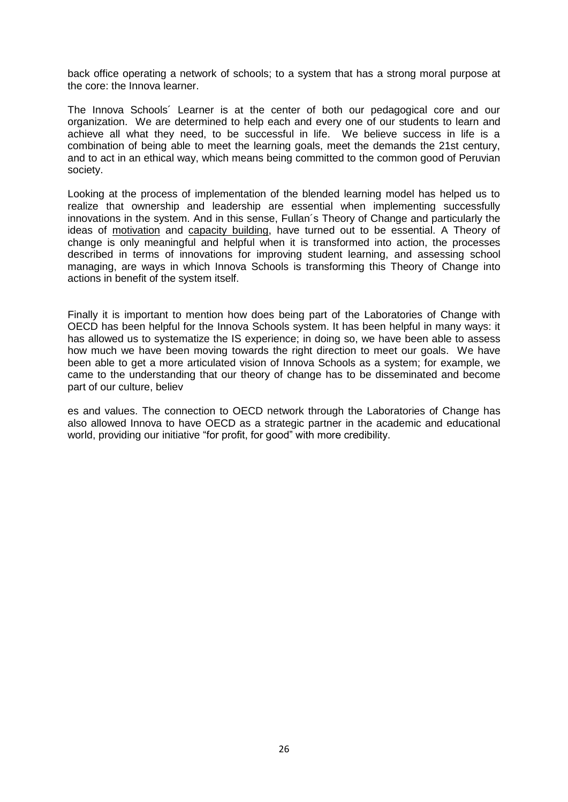back office operating a network of schools; to a system that has a strong moral purpose at the core: the Innova learner.

The Innova Schools´ Learner is at the center of both our pedagogical core and our organization. We are determined to help each and every one of our students to learn and achieve all what they need, to be successful in life. We believe success in life is a combination of being able to meet the learning goals, meet the demands the 21st century, and to act in an ethical way, which means being committed to the common good of Peruvian society.

Looking at the process of implementation of the blended learning model has helped us to realize that ownership and leadership are essential when implementing successfully innovations in the system. And in this sense, Fullan´s Theory of Change and particularly the ideas of motivation and capacity building, have turned out to be essential. A Theory of change is only meaningful and helpful when it is transformed into action, the processes described in terms of innovations for improving student learning, and assessing school managing, are ways in which Innova Schools is transforming this Theory of Change into actions in benefit of the system itself.

Finally it is important to mention how does being part of the Laboratories of Change with OECD has been helpful for the Innova Schools system. It has been helpful in many ways: it has allowed us to systematize the IS experience; in doing so, we have been able to assess how much we have been moving towards the right direction to meet our goals. We have been able to get a more articulated vision of Innova Schools as a system; for example, we came to the understanding that our theory of change has to be disseminated and become part of our culture, believ

es and values. The connection to OECD network through the Laboratories of Change has also allowed Innova to have OECD as a strategic partner in the academic and educational world, providing our initiative "for profit, for good" with more credibility.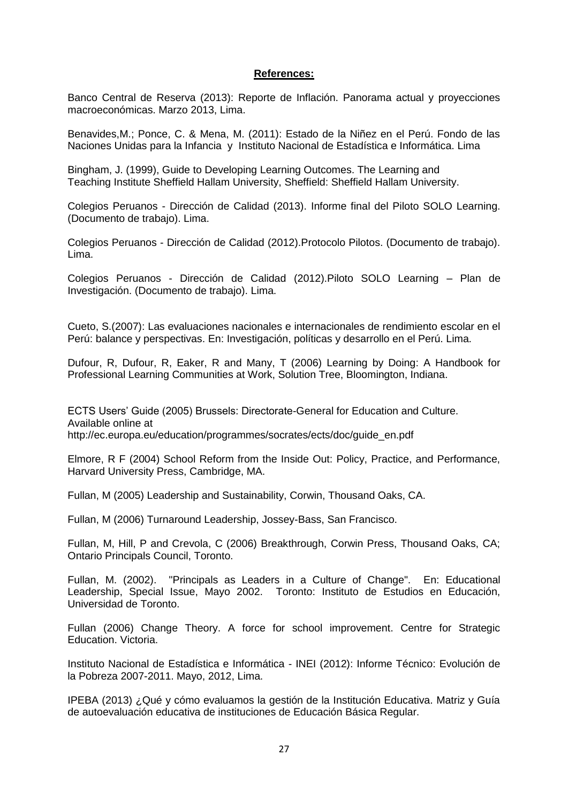### **References:**

Banco Central de Reserva (2013): Reporte de Inflación. Panorama actual y proyecciones macroeconómicas. Marzo 2013, Lima.

Benavides,M.; Ponce, C. & Mena, M. (2011): Estado de la Niñez en el Perú. Fondo de las Naciones Unidas para la Infancia y Instituto Nacional de Estadística e Informática. Lima

Bingham, J. (1999), Guide to Developing Learning Outcomes. The Learning and Teaching Institute Sheffield Hallam University, Sheffield: Sheffield Hallam University.

Colegios Peruanos - Dirección de Calidad (2013). Informe final del Piloto SOLO Learning. (Documento de trabajo). Lima.

Colegios Peruanos - Dirección de Calidad (2012).Protocolo Pilotos. (Documento de trabajo). Lima.

Colegios Peruanos - Dirección de Calidad (2012).Piloto SOLO Learning – Plan de Investigación. (Documento de trabajo). Lima.

Cueto, S.(2007): Las evaluaciones nacionales e internacionales de rendimiento escolar en el Perú: balance y perspectivas. En: Investigación, políticas y desarrollo en el Perú. Lima.

Dufour, R, Dufour, R, Eaker, R and Many, T (2006) Learning by Doing: A Handbook for Professional Learning Communities at Work, Solution Tree, Bloomington, Indiana.

ECTS Users' Guide (2005) Brussels: Directorate-General for Education and Culture. Available online at http://ec.europa.eu/education/programmes/socrates/ects/doc/guide\_en.pdf

Elmore, R F (2004) School Reform from the Inside Out: Policy, Practice, and Performance, Harvard University Press, Cambridge, MA.

Fullan, M (2005) Leadership and Sustainability, Corwin, Thousand Oaks, CA.

Fullan, M (2006) Turnaround Leadership, Jossey-Bass, San Francisco.

Fullan, M, Hill, P and Crevola, C (2006) Breakthrough, Corwin Press, Thousand Oaks, CA; Ontario Principals Council, Toronto.

Fullan, M. (2002). "Principals as Leaders in a Culture of Change". En: Educational Leadership, Special Issue, Mayo 2002. Toronto: Instituto de Estudios en Educación, Universidad de Toronto.

Fullan (2006) Change Theory. A force for school improvement. Centre for Strategic Education. Victoria.

Instituto Nacional de Estadística e Informática - INEI (2012): Informe Técnico: Evolución de la Pobreza 2007-2011. Mayo, 2012, Lima.

IPEBA (2013) ¿Qué y cómo evaluamos la gestión de la Institución Educativa. Matriz y Guía de autoevaluación educativa de instituciones de Educación Básica Regular.